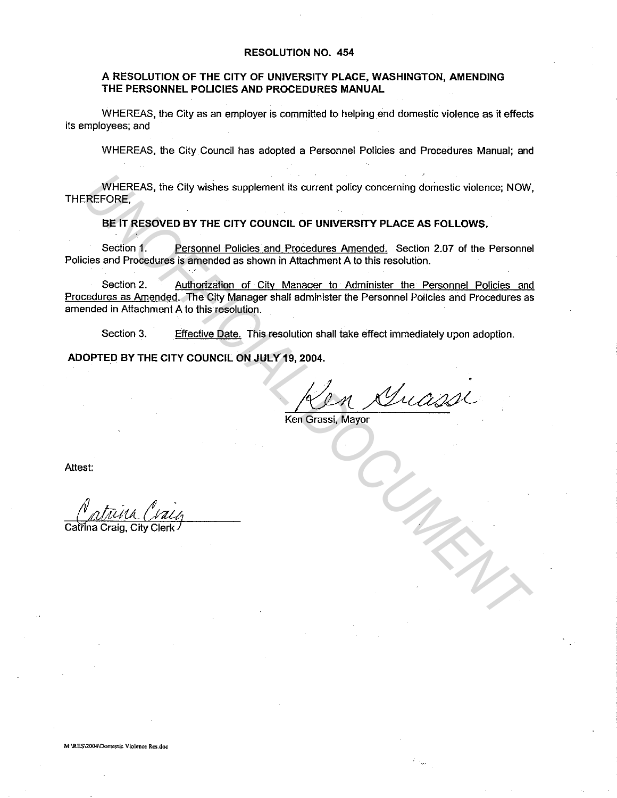## **RESOLUTION NO. 454**

## **A RESOLUTION OF THE CITY OF UNIVERSITY PLACE, WASHINGTON, AMENDING THE PERSONNEL POLICIES AND PROCEDURES MANUAL**

WHEREAS, the City as an employer is committed to helping end domestic violence as it effects its employees; and

WHEREAS, the City Council has adopted a Personnel Policies and Procedures Manual; and

WHEREAS, the City wishes supplement its current policy concerning domestic violence; NOW, THEREFORE,

**BE IT RESOVED BY THE CITY COUNCIL OF UNIVERSITY PLACE AS FOLLOWS.** 

Section 1. Personnel Policies and Procedures Amended. Section 2.07 of the Personnel Policies and Procedures is amended as shown in Attachment A to this resolution.

Section 2. Authorization of City Manager to Administer the Personnel Policies and Procedures as Amended. The City Manager shall administer the Personnel Policies and Procedures as amended in Attachment A to this resolution. WHEREAS, the City wishes supplement its current policy concerning domestic violence, NOW,<br>EREFORE.<br> **BEIT RESOVED BY THE CITY COUNCIL OF UNIVERSITY PLACE AS FOLLOWS.**<br>
Section 1. Personnel Policies and Procedures Amended.

Section 3. Effective Date. This resolution shall take effect immediately upon adoption.

**ADOPTED BY THE CITY COUNCIL ON JULY 19, 2004.** 

 $^{\prime}$ 11 A

Ken Grassi, Mayor

Attest:

Catrina Craig, City Clerk